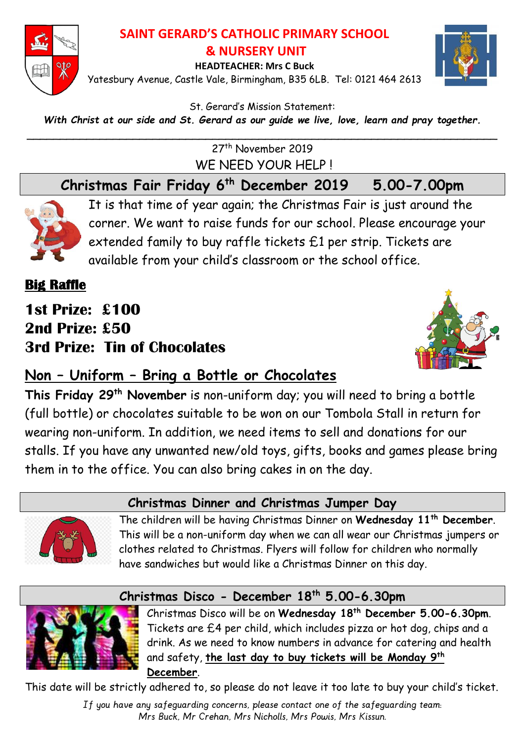

# **SAINT GERARD'S CATHOLIC PRIMARY SCHOOL**

**& NURSERY UNIT**

**HEADTEACHER: Mrs C Buck** Yatesbury Avenue, Castle Vale, Birmingham, B35 6LB. Tel: 0121 464 2613



St. Gerard's Mission Statement:

*With Christ at our side and St. Gerard as our guide we live, love, learn and pray together.* \_\_\_\_\_\_\_\_\_\_\_\_\_\_\_\_\_\_\_\_\_\_\_\_\_\_\_\_\_\_\_\_\_\_\_\_\_\_\_\_\_\_\_\_\_\_\_\_\_\_\_\_\_\_\_\_\_\_\_\_\_\_\_\_\_\_\_\_\_\_\_

> 27th November 2019 WE NEED YOUR HELP!

## **Christmas Fair Friday 6th December 2019 5.00-7.00pm**



It is that time of year again; the Christmas Fair is just around the corner. We want to raise funds for our school. Please encourage your extended family to buy raffle tickets £1 per strip. Tickets are available from your child's classroom or the school office.

**Big Raffle**

### **1st Prize: £100 2nd Prize: £50 3rd Prize: Tin of Chocolates**



## **Non – Uniform – Bring a Bottle or Chocolates**

**This Friday 29th November** is non-uniform day; you will need to bring a bottle (full bottle) or chocolates suitable to be won on our Tombola Stall in return for wearing non-uniform. In addition, we need items to sell and donations for our stalls. If you have any unwanted new/old toys, gifts, books and games please bring them in to the office. You can also bring cakes in on the day.



#### **Christmas Dinner and Christmas Jumper Day**

The children will be having Christmas Dinner on **Wednesday 11th December**. This will be a non-uniform day when we can all wear our Christmas jumpers or clothes related to Christmas. Flyers will follow for children who normally have sandwiches but would like a Christmas Dinner on this day.



**Christmas Disco - December 18 th 5.00-6.30pm**

Christmas Disco will be on **Wednesday 18 th December 5.00-6.30pm**. Tickets are £4 per child, which includes pizza or hot dog, chips and a drink. As we need to know numbers in advance for catering and health and safety, **the last day to buy tickets will be Monday 9 th December**.

This date will be strictly adhered to, so please do not leave it too late to buy your child's ticket.

*If you have any safeguarding concerns, please contact one of the safeguarding team: Mrs Buck, Mr Crehan, Mrs Nicholls, Mrs Powis, Mrs Kissun.*